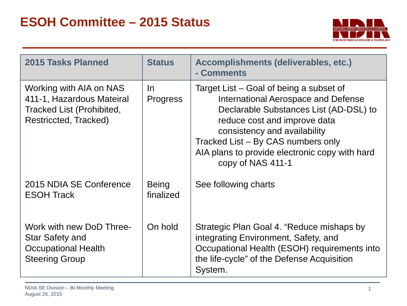

| <b>2015 Tasks Planned</b>                                                                                         | <b>Status</b>             | Accomplishments (deliverables, etc.)<br>- Comments                                                                                                                                                                                                                                                    |
|-------------------------------------------------------------------------------------------------------------------|---------------------------|-------------------------------------------------------------------------------------------------------------------------------------------------------------------------------------------------------------------------------------------------------------------------------------------------------|
| Working with AIA on NAS<br>411-1, Hazardous Mateiral<br><b>Tracked List (Prohibited,</b><br>Restriccted, Tracked) | In.<br><b>Progress</b>    | Target List – Goal of being a subset of<br>International Aerospace and Defense<br>Declarable Substances List (AD-DSL) to<br>reduce cost and improve data<br>consistency and availability<br>Tracked List - By CAS numbers only<br>AIA plans to provide electronic copy with hard<br>copy of NAS 411-1 |
| 2015 NDIA SE Conference<br><b>ESOH Track</b>                                                                      | <b>Being</b><br>finalized | See following charts                                                                                                                                                                                                                                                                                  |
| Work with new DoD Three-<br>Star Safety and<br><b>Occupational Health</b><br><b>Steering Group</b>                | On hold                   | Strategic Plan Goal 4. "Reduce mishaps by<br>integrating Environment, Safety, and<br>Occupational Health (ESOH) requirements into<br>the life-cycle" of the Defense Acquisition<br>System.                                                                                                            |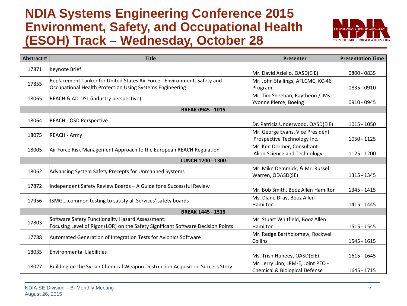#### **NDIA Systems Engineering Conference 2015 Environment, Safety, and Occupational Health (ESOH) Track – Wednesday, October 28**



| Abstract #               | <b>Title</b>                                                                                                                         | Presenter                                                           | <b>Presentation Time</b> |  |
|--------------------------|--------------------------------------------------------------------------------------------------------------------------------------|---------------------------------------------------------------------|--------------------------|--|
| 17871                    | Keynote Brief                                                                                                                        | Mr. David Asiello, OASD(EIE)                                        | 0800 - 0835              |  |
| 17855                    | Replacement Tanker for United States Air Force - Environment, Safety and<br>Occupational Health Protection Using Systems Engineering | Mr. John Stallings, AFLCMC, KC-46<br>Program                        | 0835 - 0910              |  |
| 18065                    | REACH & AD-DSL (industry perspective)                                                                                                | Mr. Tim Sheehan, Raytheon / Ms.<br>Yvonne Pierce, Boeing            | 0910 - 0945              |  |
| <b>BREAK 0945 - 1015</b> |                                                                                                                                      |                                                                     |                          |  |
| 18064                    | <b>REACH - OSD Perspective</b>                                                                                                       | Dr. Patricia Underwood, OASD(EIE)                                   | $1015 - 1050$            |  |
| 18075                    | <b>REACH - Army</b>                                                                                                                  | Mr. George Evans, Vice President<br>Prospective Technology Inc.     | 1050 - 1125              |  |
| 18005                    | Air Force Risk Management Approach to the European REACH Regulation                                                                  | Mr. Ken Dormer, Consultant<br>Alion Science and Technology          | 1125 - 1200              |  |
|                          | <b>LUNCH 1200 - 1300</b>                                                                                                             |                                                                     |                          |  |
| 18062                    | Advancing System Safety Precepts for Unmanned Systems                                                                                | Mr. Mike Demmick, & Mr. Russel<br>Warren, ODASD(SE)                 | 1315 - 1345              |  |
| 17872                    | Independent Safety Review Boards - A Guide for a Successful Review                                                                   | Mr. Bob Smith, Booz Allen Hamilton                                  | 1345 - 1415              |  |
| 17956                    | JSMGcommon testing to satisfy all Services' safety boards                                                                            | Ms. Diane Dray, Booz Allen<br>Hamilton                              | 1415 - 1445              |  |
| <b>BREAK 1445 - 1515</b> |                                                                                                                                      |                                                                     |                          |  |
| 17803                    | Software Safety Functionality Hazard Assessment:<br>Focusing Level of Rigor (LOR) on the Safety Significant Software Decision Points | Mr. Stuart Whitfield, Booz Allen<br>Hamilton                        | 1515 - 1545              |  |
| 17788                    | Automated Generation of Integration Tests for Avionics Software                                                                      | Mr. Redge Bartholomew, Rockwell<br><b>Collins</b>                   | 1545 - 1615              |  |
| 18035                    | <b>Environmental Liabilities</b>                                                                                                     | Ms. Trish Huheey, OASD(EIE)                                         | 1615 - 1645              |  |
| 18027                    | Building on the Syrian Chemical Weapon Destruction Acquisition Success Story                                                         | Mr. Jerry Linn, JPM-E, Joint PEO -<br>Chemical & Biological Defense | 1645 - 1715              |  |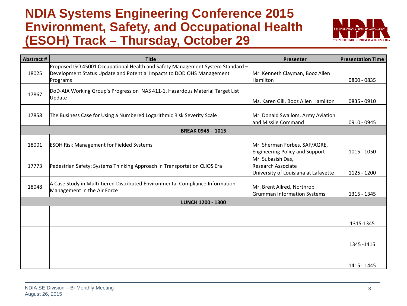#### **NDIA Systems Engineering Conference 2015 Environment, Safety, and Occupational Health (ESOH) Track – Thursday, October 29**



| <b>Abstract #</b> | <b>Title</b>                                                                   | Presenter                             | <b>Presentation Time</b> |
|-------------------|--------------------------------------------------------------------------------|---------------------------------------|--------------------------|
|                   | Proposed ISO 45001 Occupational Health and Safety Management System Standard - |                                       |                          |
| 18025             | Development Status Update and Potential Impacts to DOD OHS Management          | Mr. Kenneth Clayman, Booz Allen       |                          |
|                   | Programs                                                                       | Hamilton                              | 0800 - 0835              |
| 17867             | DoD-AIA Working Group's Progress on NAS 411-1, Hazardous Material Target List  |                                       |                          |
|                   | Update                                                                         | Ms. Karen Gill, Booz Allen Hamilton   | $0835 - 0910$            |
|                   |                                                                                |                                       |                          |
| 17858             | The Business Case for Using a Numbered Logarithmic Risk Severity Scale         | Mr. Donald Swallom, Army Aviation     |                          |
|                   |                                                                                | land Missile Command                  | 0910 - 0945              |
|                   | <b>BREAK 0945-1015</b>                                                         |                                       |                          |
| 18001             | <b>ESOH Risk Management for Fielded Systems</b>                                | Mr. Sherman Forbes, SAF/AQRE,         |                          |
|                   |                                                                                | <b>Engineering Policy and Support</b> | $1015 - 1050$            |
|                   |                                                                                | Mr. Subasish Das,                     |                          |
| 17773             | Pedestrian Safety: Systems Thinking Approach in Transportation CLIOS Era       | Research Associate                    |                          |
|                   |                                                                                | University of Louisiana at Lafayette  | 1125 - 1200              |
| 18048             | A Case Study in Multi-tiered Distributed Environmental Compliance Information  | Mr. Brent Allred, Northrop            |                          |
|                   | Management in the Air Force                                                    | Grumman Information Systems           | 1315 - 1345              |
|                   | <b>LUNCH 1200 - 1300</b>                                                       |                                       |                          |
|                   |                                                                                |                                       |                          |
|                   |                                                                                |                                       |                          |
|                   |                                                                                |                                       | 1315-1345                |
|                   |                                                                                |                                       |                          |
|                   |                                                                                |                                       | 1345-1415                |
|                   |                                                                                |                                       |                          |
|                   |                                                                                |                                       |                          |
|                   |                                                                                |                                       | 1415 - 1445              |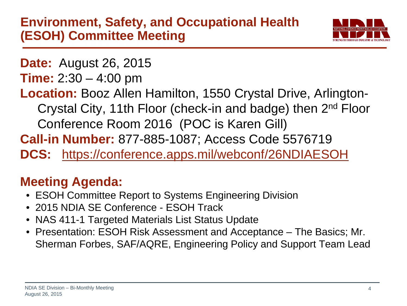

**Date:** August 26, 2015

- **Time:** 2:30 4:00 pm
- **Location:** Booz Allen Hamilton, 1550 Crystal Drive, Arlington-
	- Crystal City, 11th Floor (check-in and badge) then 2nd Floor Conference Room 2016 (POC is Karen Gill)
- **Call-in Number:** 877-885-1087; Access Code 5576719
- **DCS:** <https://conference.apps.mil/webconf/26NDIAESOH>

## **Meeting Agenda:**

- ESOH Committee Report to Systems Engineering Division
- 2015 NDIA SE Conference ESOH Track
- NAS 411-1 Targeted Materials List Status Update
- Presentation: ESOH Risk Assessment and Acceptance The Basics; Mr. Sherman Forbes, SAF/AQRE, Engineering Policy and Support Team Lead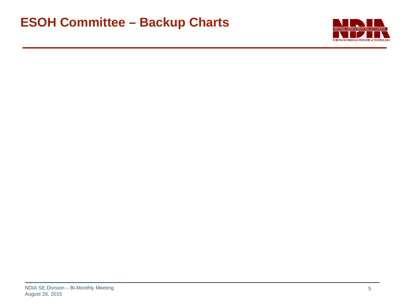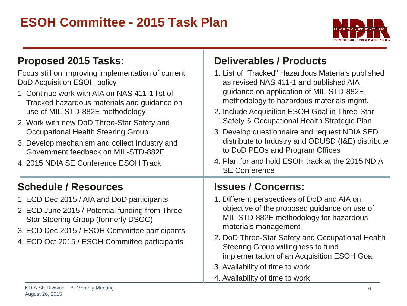### **ESOH Committee - 2015 Task Plan**



| <b>Proposed 2015 Tasks:</b>                                                                                                                                                                                                                                                                                                                                                                                                                | <b>Deliverables / Products</b>                                                                                                                                                                                                                                                                                                                                                                                                                                                    |
|--------------------------------------------------------------------------------------------------------------------------------------------------------------------------------------------------------------------------------------------------------------------------------------------------------------------------------------------------------------------------------------------------------------------------------------------|-----------------------------------------------------------------------------------------------------------------------------------------------------------------------------------------------------------------------------------------------------------------------------------------------------------------------------------------------------------------------------------------------------------------------------------------------------------------------------------|
| Focus still on improving implementation of current<br>DoD Acquisition ESOH policy<br>1. Continue work with AIA on NAS 411-1 list of<br>Tracked hazardous materials and guidance on<br>use of MIL-STD-882E methodology<br>2. Work with new DoD Three-Star Safety and<br>Occupational Health Steering Group<br>3. Develop mechanism and collect Industry and<br>Government feedback on MIL-STD-882E<br>4. 2015 NDIA SE Conference ESOH Track | 1. List of "Tracked" Hazardous Materials published<br>as revised NAS 411-1 and published AIA<br>guidance on application of MIL-STD-882E<br>methodology to hazardous materials mgmt.<br>2. Include Acquisition ESOH Goal in Three-Star<br>Safety & Occupational Health Strategic Plan<br>3. Develop questionnaire and request NDIA SED<br>distribute to Industry and ODUSD (I&E) distribute<br>to DoD PEOs and Program Offices<br>4. Plan for and hold ESOH track at the 2015 NDIA |
|                                                                                                                                                                                                                                                                                                                                                                                                                                            | <b>SE Conference</b>                                                                                                                                                                                                                                                                                                                                                                                                                                                              |
| <b>Schedule / Resources</b>                                                                                                                                                                                                                                                                                                                                                                                                                | <b>Issues / Concerns:</b>                                                                                                                                                                                                                                                                                                                                                                                                                                                         |
| 1. ECD Dec 2015 / AIA and DoD participants<br>2. ECD June 2015 / Potential funding from Three-<br>Star Steering Group (formerly DSOC)<br>3. ECD Dec 2015 / ESOH Committee participants                                                                                                                                                                                                                                                     | 1. Different perspectives of DoD and AIA on<br>objective of the proposed guidance on use of<br>MIL-STD-882E methodology for hazardous<br>materials management<br>2. DoD Three-Star Safety and Occupational Health                                                                                                                                                                                                                                                                 |
| 4. ECD Oct 2015 / ESOH Committee participants                                                                                                                                                                                                                                                                                                                                                                                              | Steering Group willingness to fund<br>implementation of an Acquisition ESOH Goal                                                                                                                                                                                                                                                                                                                                                                                                  |
|                                                                                                                                                                                                                                                                                                                                                                                                                                            | 3. Availability of time to work<br>4. Availability of time to work                                                                                                                                                                                                                                                                                                                                                                                                                |

т